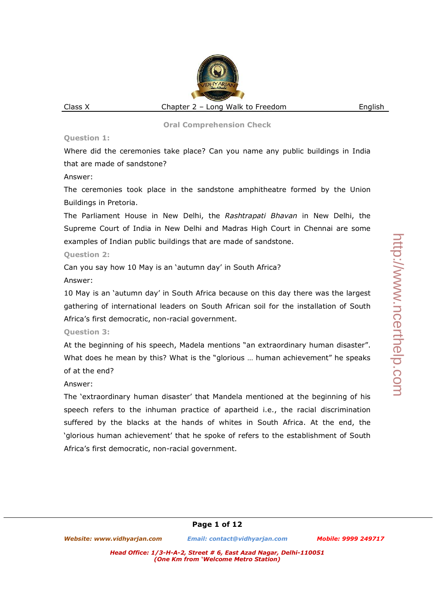Where did the ceremonies take place? Can you name any public buildings in India that are made of sandstone?

Answer:

The ceremonies took place in the sandstone amphitheatre formed by the Union Buildings in Pretoria.

The Parliament House in New Delhi, the *Rashtrapati Bhavan* in New Delhi, the Supreme Court of India in New Delhi and Madras High Court in Chennai are some examples of Indian public buildings that are made of sandstone.

# **Question 2:**

Can you say how 10 May is an 'autumn day' in South Africa?

# Answer:

10 May is an 'autumn day' in South Africa because on this day there was the largest gathering of international leaders on South African soil for the installation of South Africa's first democratic, non-racial government.

# **Question 3:**

At the beginning of his speech, Madela mentions "an extraordinary human disaster". What does he mean by this? What is the "glorious … human achievement" he speaks of at the end?

# Answer:

The 'extraordinary human disaster' that Mandela mentioned at the beginning of his speech refers to the inhuman practice of apartheid i.e., the racial discrimination suffered by the blacks at the hands of whites in South Africa. At the end, the 'glorious human achievement' that he spoke of refers to the establishment of South Africa's first democratic, non-racial government.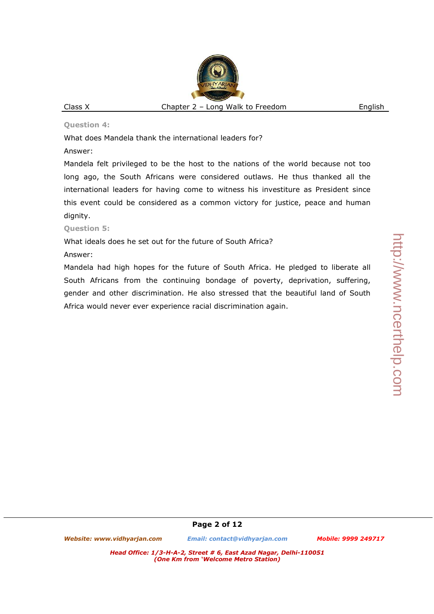# http://www.ncerthelp.com http://www.ncerthelp.com

### **Question 4:**

What does Mandela thank the international leaders for?

# Answer:

Mandela felt privileged to be the host to the nations of the world because not too long ago, the South Africans were considered outlaws. He thus thanked all the international leaders for having come to witness his investiture as President since this event could be considered as a common victory for justice, peace and human dignity.

# **Question 5:**

What ideals does he set out for the future of South Africa?

# Answer:

Mandela had high hopes for the future of South Africa. He pledged to liberate all South Africans from the continuing bondage of poverty, deprivation, suffering, gender and other discrimination. He also stressed that the beautiful land of South Africa would never ever experience racial discrimination again.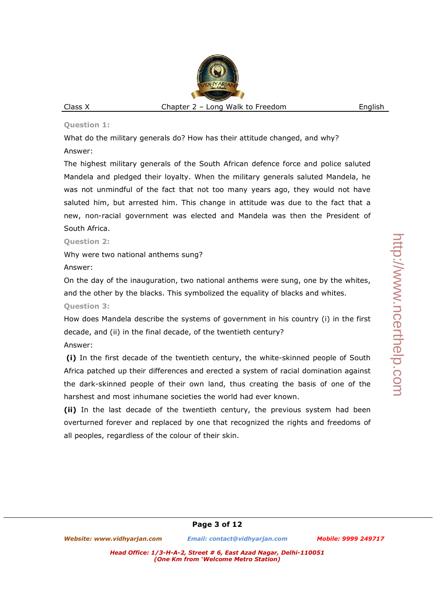What do the military generals do? How has their attitude changed, and why? Answer:

The highest military generals of the South African defence force and police saluted Mandela and pledged their loyalty. When the military generals saluted Mandela, he was not unmindful of the fact that not too many years ago, they would not have saluted him, but arrested him. This change in attitude was due to the fact that a new, non-racial government was elected and Mandela was then the President of South Africa.

**Question 2:** 

Why were two national anthems sung?

Answer:

On the day of the inauguration, two national anthems were sung, one by the whites, and the other by the blacks. This symbolized the equality of blacks and whites.

**Question 3:** 

How does Mandela describe the systems of government in his country (i) in the first decade, and (ii) in the final decade, of the twentieth century?

Answer:

 **(i)** In the first decade of the twentieth century, the white-skinned people of South Africa patched up their differences and erected a system of racial domination against the dark-skinned people of their own land, thus creating the basis of one of the harshest and most inhumane societies the world had ever known.

**(ii)** In the last decade of the twentieth century, the previous system had been overturned forever and replaced by one that recognized the rights and freedoms of all peoples, regardless of the colour of their skin.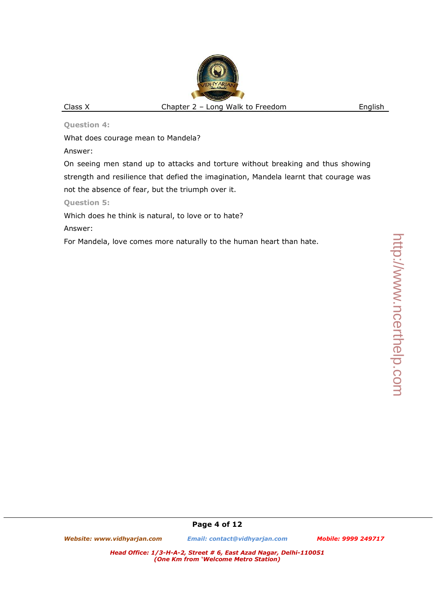What does courage mean to Mandela?

Answer:

On seeing men stand up to attacks and torture without breaking and thus showing strength and resilience that defied the imagination, Mandela learnt that courage was not the absence of fear, but the triumph over it.

**Question 5:** 

Which does he think is natural, to love or to hate?

Answer:

For Mandela, love comes more naturally to the human heart than hate.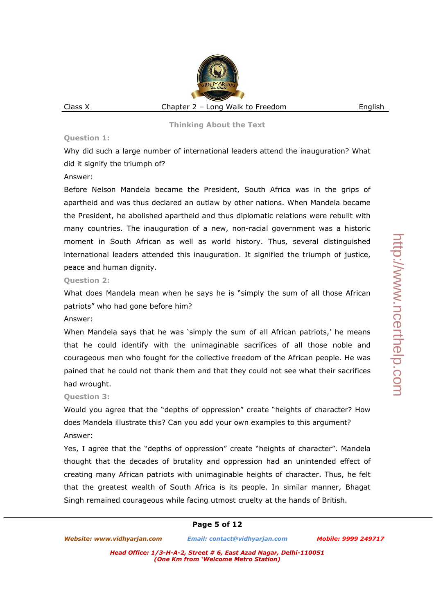Why did such a large number of international leaders attend the inauguration? What did it signify the triumph of?

# Answer:

Before Nelson Mandela became the President, South Africa was in the grips of apartheid and was thus declared an outlaw by other nations. When Mandela became the President, he abolished apartheid and thus diplomatic relations were rebuilt with many countries. The inauguration of a new, non-racial government was a historic moment in South African as well as world history. Thus, several distinguished international leaders attended this inauguration. It signified the triumph of justice, peace and human dignity.

# **Question 2:**

What does Mandela mean when he says he is "simply the sum of all those African patriots" who had gone before him?

### Answer:

When Mandela says that he was 'simply the sum of all African patriots,' he means that he could identify with the unimaginable sacrifices of all those noble and courageous men who fought for the collective freedom of the African people. He was pained that he could not thank them and that they could not see what their sacrifices had wrought.

# **Question 3:**

Would you agree that the "depths of oppression" create "heights of character? How does Mandela illustrate this? Can you add your own examples to this argument? Answer:

Yes, I agree that the "depths of oppression" create "heights of character". Mandela thought that the decades of brutality and oppression had an unintended effect of creating many African patriots with unimaginable heights of character. Thus, he felt that the greatest wealth of South Africa is its people. In similar manner, Bhagat Singh remained courageous while facing utmost cruelty at the hands of British.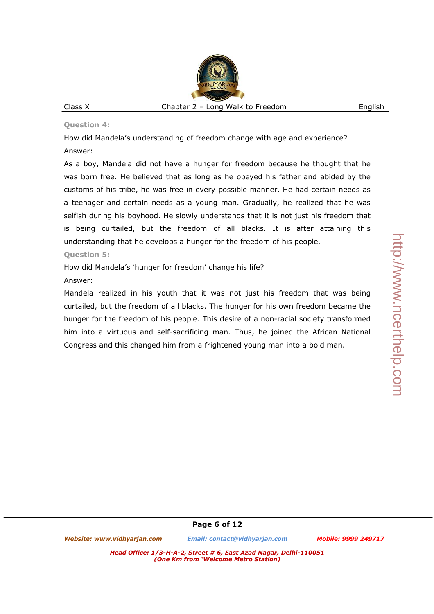How did Mandela's understanding of freedom change with age and experience? Answer:

As a boy, Mandela did not have a hunger for freedom because he thought that he was born free. He believed that as long as he obeyed his father and abided by the customs of his tribe, he was free in every possible manner. He had certain needs as a teenager and certain needs as a young man. Gradually, he realized that he was selfish during his boyhood. He slowly understands that it is not just his freedom that is being curtailed, but the freedom of all blacks. It is after attaining this understanding that he develops a hunger for the freedom of his people.

### **Question 5:**

How did Mandela's 'hunger for freedom' change his life?

# Answer:

Mandela realized in his youth that it was not just his freedom that was being curtailed, but the freedom of all blacks. The hunger for his own freedom became the hunger for the freedom of his people. This desire of a non-racial society transformed him into a virtuous and self-sacrificing man. Thus, he joined the African National Congress and this changed him from a frightened young man into a bold man.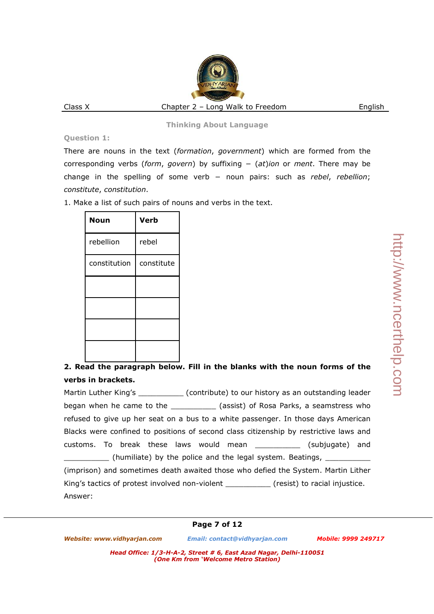There are nouns in the text (*formation*, *government*) which are formed from the corresponding verbs (*form*, *govern*) by suffixing − (*at*)*ion* or *ment*. There may be change in the spelling of some verb − noun pairs: such as *rebel*, *rebellion*; *constitute*, *constitution*.

1. Make a list of such pairs of nouns and verbs in the text.

| Noun         | Verb       |
|--------------|------------|
| rebellion    | rebel      |
| constitution | constitute |
|              |            |
|              |            |
|              |            |
|              |            |

# **2. Read the paragraph below. Fill in the blanks with the noun forms of the verbs in brackets.**

Martin Luther King's \_\_\_\_\_\_\_\_\_\_\_\_\_(contribute) to our history as an outstanding leader began when he came to the **the solution (assist)** of Rosa Parks, a seamstress who refused to give up her seat on a bus to a white passenger. In those days American Blacks were confined to positions of second class citizenship by restrictive laws and customs. To break these laws would mean \_\_\_\_\_\_\_\_\_\_ (subjugate) and (humiliate) by the police and the legal system. Beatings, \_\_\_\_\_\_\_\_\_\_\_\_\_\_\_\_ (imprison) and sometimes death awaited those who defied the System. Martin Lither King's tactics of protest involved non-violent (resist) to racial injustice. Answer: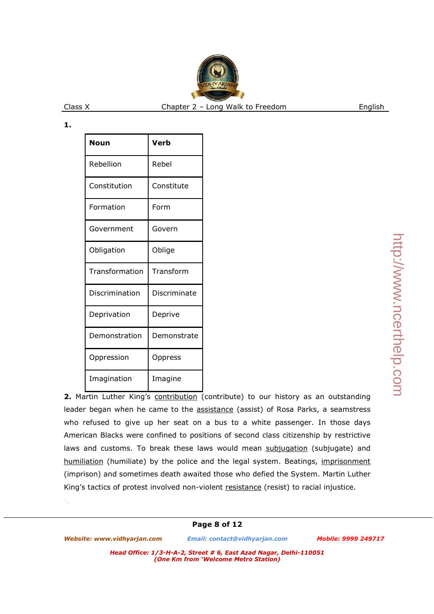| Noun           | Verb         |
|----------------|--------------|
| Rebellion      | Rebel        |
| Constitution   | Constitute   |
| Formation      | Form         |
| Government     | Govern       |
| Obligation     | Oblige       |
| Transformation | Transform    |
| Discrimination | Discriminate |
| Deprivation    | Deprive      |
| Demonstration  | Demonstrate  |
| Oppression     | Oppress      |
| Imagination    | Imagine      |

**2.** Martin Luther King's contribution (contribute) to our history as an outstanding leader began when he came to the **assistance** (assist) of Rosa Parks, a seamstress who refused to give up her seat on a bus to a white passenger. In those days American Blacks were confined to positions of second class citizenship by restrictive laws and customs. To break these laws would mean subjugation (subjugate) and humiliation (humiliate) by the police and the legal system. Beatings, imprisonment (imprison) and sometimes death awaited those who defied the System. Martin Luther King's tactics of protest involved non-violent resistance (resist) to racial injustice.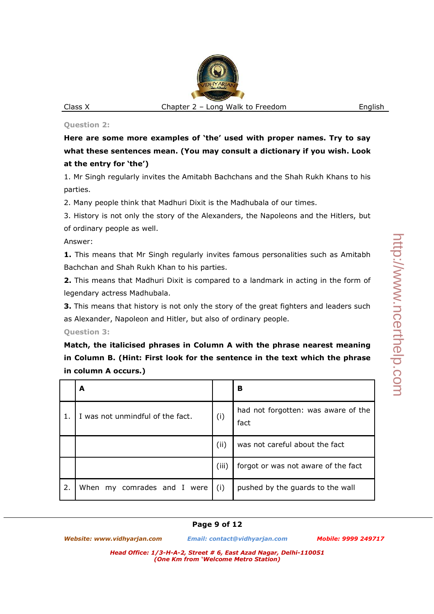**Here are some more examples of 'the' used with proper names. Try to say what these sentences mean. (You may consult a dictionary if you wish. Look at the entry for 'the')**

1. Mr Singh regularly invites the Amitabh Bachchans and the Shah Rukh Khans to his parties.

2. Many people think that Madhuri Dixit is the Madhubala of our times.

3. History is not only the story of the Alexanders, the Napoleons and the Hitlers, but of ordinary people as well.

Answer:

**1.** This means that Mr Singh regularly invites famous personalities such as Amitabh Bachchan and Shah Rukh Khan to his parties.

**2.** This means that Madhuri Dixit is compared to a landmark in acting in the form of legendary actress Madhubala.

**3.** This means that history is not only the story of the great fighters and leaders such as Alexander, Napoleon and Hitler, but also of ordinary people.

**Question 3:** 

**Match, the italicised phrases in Column A with the phrase nearest meaning in Column B. (Hint: First look for the sentence in the text which the phrase in column A occurs.)**

|    | A                                |       | В                                           |
|----|----------------------------------|-------|---------------------------------------------|
|    | I was not unmindful of the fact. | (i)   | had not forgotten: was aware of the<br>fact |
|    |                                  | (i)   | was not careful about the fact              |
|    |                                  | (iii) | forgot or was not aware of the fact         |
| 2. | my comrades and I were<br>When   | (i)   | pushed by the guards to the wall            |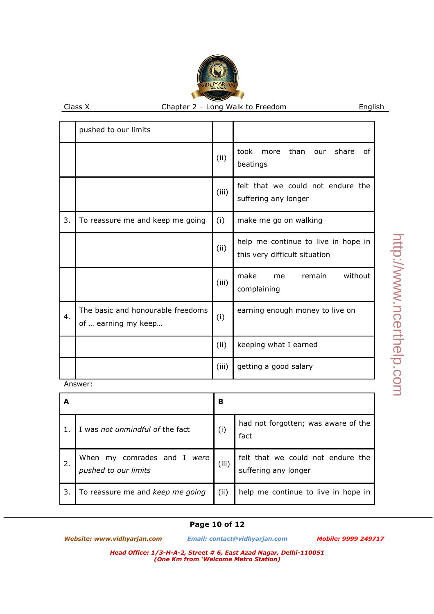|    | pushed to our limits                                     |       |                                                                      |
|----|----------------------------------------------------------|-------|----------------------------------------------------------------------|
|    |                                                          | (ii)  | took more than our share<br>of<br>beatings                           |
|    |                                                          | (iii) | felt that we could not endure the<br>suffering any longer            |
| 3. | To reassure me and keep me going                         | (i)   | make me go on walking                                                |
|    |                                                          | (ii)  | help me continue to live in hope in<br>this very difficult situation |
|    |                                                          | (iii) | without<br>make<br>remain<br>me<br>complaining                       |
| 4. | The basic and honourable freedoms<br>of  earning my keep | (i)   | earning enough money to live on                                      |
|    |                                                          | (ii)  | keeping what I earned                                                |
|    |                                                          | (iii) | getting a good salary                                                |

Answer:

|    |                                                           | в     |                                                           |
|----|-----------------------------------------------------------|-------|-----------------------------------------------------------|
|    | I was not unmindful of the fact                           | (i)   | had not forgotten; was aware of the<br>fact               |
| 2. | comrades and I<br>When my<br>were<br>pushed to our limits | (iii) | felt that we could not endure the<br>suffering any longer |
| 3. | To reassure me and keep me going                          | (ii)  | help me continue to live in hope in                       |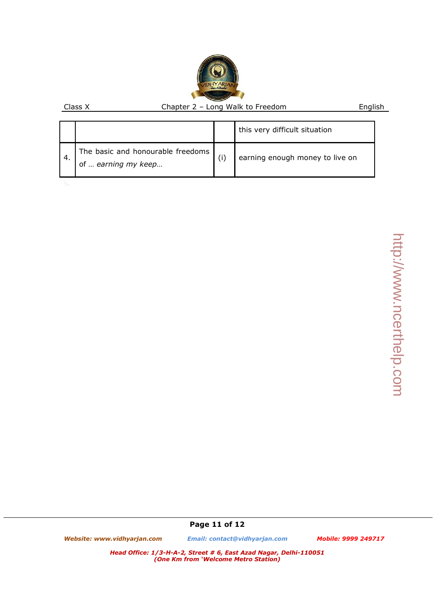|     |                                                          |     | this very difficult situation   |
|-----|----------------------------------------------------------|-----|---------------------------------|
| -4. | The basic and honourable freedoms<br>of  earning my keep | (i) | earning enough money to live on |
|     |                                                          |     |                                 |